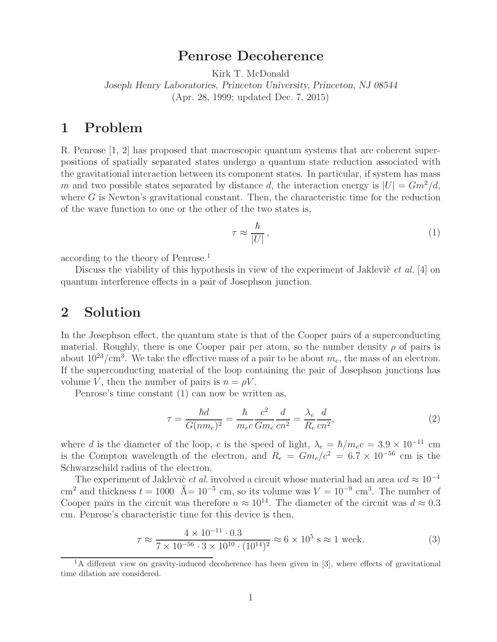## **Penrose Decoherence**

Kirk T. McDonald

*Joseph Henry Laboratories, Princeton University, Princeton, NJ 08544*

(Apr. 28, 1999; updated Dec. 7, 2015)

## **1 Problem**

R. Penrose [1, 2] has proposed that macroscopic quantum systems that are coherent superpositions of spatially separated states undergo a quantum state reduction associated with the gravitational interaction between its component states. In particular, if system has mass m and two possible states separated by distance d, the interaction energy is  $|U| = Gm^2/d$ , where  $G$  is Newton's gravitational constant. Then, the characteristic time for the reduction of the wave function to one or the other of the two states is,

$$
\tau \approx \frac{\hbar}{|U|},\tag{1}
$$

according to the theory of Penrose.<sup>1</sup>

Discuss the viability of this hypothesis in view of the experiment of Jaklevic *et al.* [4] on quantum interference effects in a pair of Josephson junction.

## **2 Solution**

In the Josephson effect, the quantum state is that of the Cooper pairs of a superconducting material. Roughly, there is one Cooper pair per atom, so the number density  $\rho$  of pairs is about  $10^{23}/\text{cm}^3$ . We take the effective mass of a pair to be about  $m_e$ , the mass of an electron. If the superconducting material of the loop containing the pair of Josephson junctions has volume V, then the number of pairs is  $n = \rho V$ .

Penrose's time constant (1) can now be written as,

$$
\tau = \frac{\hbar d}{G(nm_e)^2} = \frac{\hbar}{m_e c} \frac{c^2}{Gm_e} \frac{d}{cn^2} = \frac{\lambda_e}{R_e} \frac{d}{cn^2},\tag{2}
$$

where d is the diameter of the loop, c is the speed of light,  $\lambda_e = \hbar/m_e c = 3.9 \times 10^{-11}$  cm is the Compton wavelength of the electron, and  $R_e = Gm_e/c^2 = 6.7 \times 10^{-56}$  cm is the Schwarzschild radius of the electron.

The experiment of Jaklevic *et al.* involved a circuit whose material had an area  $wd \approx 10^{-4}$ cm<sup>2</sup> and thickness  $t = 1000 \text{ \AA} = 10^{-5} \text{ cm}$ , so its volume was  $V = 10^{-9} \text{ cm}^3$ . The number of Cooper pairs in the circuit was therefore  $n \approx 10^{14}$ . The diameter of the circuit was  $d \approx 0.3$ cm. Penrose's characteristic time for this device is then,

$$
\tau \approx \frac{4 \times 10^{-11} \cdot 0.3}{7 \times 10^{-56} \cdot 3 \times 10^{10} \cdot (10^{14})^2} \approx 6 \times 10^5 \text{ s} \approx 1 \text{ week.}
$$
 (3)

<sup>&</sup>lt;sup>1</sup>A different view on gravity-induced decoherence has been given in [3], where effects of gravitational time dilation are considered.